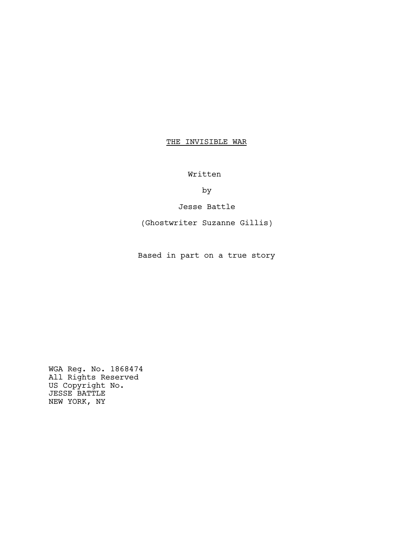# THE INVISIBLE WAR

Written

by

Jesse Battle

(Ghostwriter Suzanne Gillis)

Based in part on a true story

WGA Reg. No. 1868474 All Rights Reserved US Copyright No. JESSE BATTLE NEW YORK, NY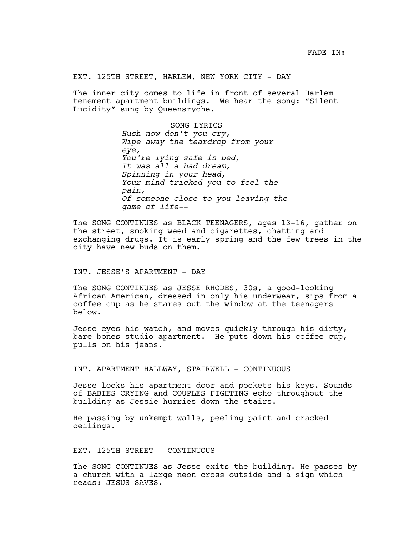EXT. 125TH STREET, HARLEM, NEW YORK CITY - DAY

The inner city comes to life in front of several Harlem tenement apartment buildings. We hear the song: "Silent Lucidity" sung by Queensryche.

> SONG LYRICS *Hush now don't you cry, Wipe away the teardrop from your eye, You're lying safe in bed, It was all a bad dream, Spinning in your head, Your mind tricked you to feel the pain, Of someone close to you leaving the game of life--*

The SONG CONTINUES as BLACK TEENAGERS, ages 13-16, gather on the street, smoking weed and cigarettes, chatting and exchanging drugs. It is early spring and the few trees in the city have new buds on them.

## INT. JESSE'S APARTMENT - DAY

The SONG CONTINUES as JESSE RHODES, 30s, a good-looking African American, dressed in only his underwear, sips from a coffee cup as he stares out the window at the teenagers below.

Jesse eyes his watch, and moves quickly through his dirty, bare-bones studio apartment. He puts down his coffee cup, pulls on his jeans.

INT. APARTMENT HALLWAY, STAIRWELL - CONTINUOUS

Jesse locks his apartment door and pockets his keys. Sounds of BABIES CRYING and COUPLES FIGHTING echo throughout the building as Jessie hurries down the stairs.

He passing by unkempt walls, peeling paint and cracked ceilings.

## EXT. 125TH STREET - CONTINUOUS

The SONG CONTINUES as Jesse exits the building. He passes by a church with a large neon cross outside and a sign which reads: JESUS SAVES.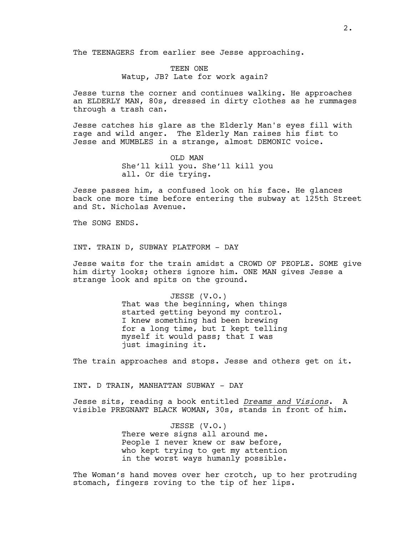The TEENAGERS from earlier see Jesse approaching.

TEEN ONE Watup, JB? Late for work again?

Jesse turns the corner and continues walking. He approaches an ELDERLY MAN, 80s, dressed in dirty clothes as he rummages through a trash can.

Jesse catches his glare as the Elderly Man's eyes fill with rage and wild anger. The Elderly Man raises his fist to Jesse and MUMBLES in a strange, almost DEMONIC voice.

> OLD MAN She'll kill you. She'll kill you all. Or die trying.

Jesse passes him, a confused look on his face. He glances back one more time before entering the subway at 125th Street and St. Nicholas Avenue.

The SONG ENDS.

INT. TRAIN D, SUBWAY PLATFORM – DAY

Jesse waits for the train amidst a CROWD OF PEOPLE. SOME give him dirty looks; others ignore him. ONE MAN gives Jesse a strange look and spits on the ground.

> JESSE (V.O.) That was the beginning, when things started getting beyond my control. I knew something had been brewing for a long time, but I kept telling myself it would pass; that I was just imagining it.

The train approaches and stops. Jesse and others get on it.

INT. D TRAIN, MANHATTAN SUBWAY - DAY

Jesse sits, reading a book entitled *Dreams and Visions*. A visible PREGNANT BLACK WOMAN, 30s, stands in front of him.

> JESSE (V.O.) There were signs all around me. People I never knew or saw before, who kept trying to get my attention in the worst ways humanly possible.

The Woman's hand moves over her crotch, up to her protruding stomach, fingers roving to the tip of her lips.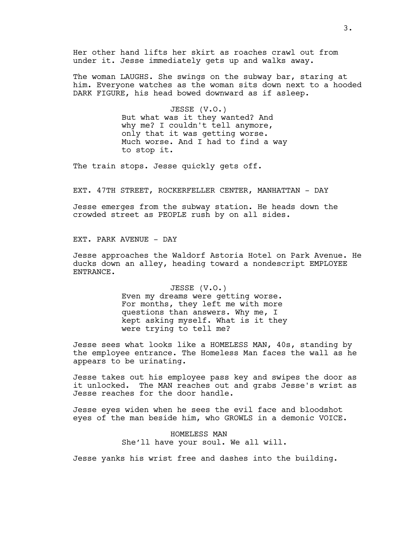Her other hand lifts her skirt as roaches crawl out from under it. Jesse immediately gets up and walks away.

The woman LAUGHS. She swings on the subway bar, staring at him. Everyone watches as the woman sits down next to a hooded DARK FIGURE, his head bowed downward as if asleep.

> JESSE (V.O.) But what was it they wanted? And why me? I couldn't tell anymore, only that it was getting worse. Much worse. And I had to find a way to stop it.

The train stops. Jesse quickly gets off.

EXT. 47TH STREET, ROCKERFELLER CENTER, MANHATTAN - DAY

Jesse emerges from the subway station. He heads down the crowded street as PEOPLE rush by on all sides.

EXT. PARK AVENUE - DAY

Jesse approaches the Waldorf Astoria Hotel on Park Avenue. He ducks down an alley, heading toward a nondescript EMPLOYEE ENTRANCE.

> JESSE (V.O.) Even my dreams were getting worse. For months, they left me with more questions than answers. Why me, I kept asking myself. What is it they were trying to tell me?

Jesse sees what looks like a HOMELESS MAN, 40s, standing by the employee entrance. The Homeless Man faces the wall as he appears to be urinating.

Jesse takes out his employee pass key and swipes the door as it unlocked. The MAN reaches out and grabs Jesse's wrist as Jesse reaches for the door handle.

Jesse eyes widen when he sees the evil face and bloodshot eyes of the man beside him, who GROWLS in a demonic VOICE.

> HOMELESS MAN She'll have your soul. We all will.

Jesse yanks his wrist free and dashes into the building.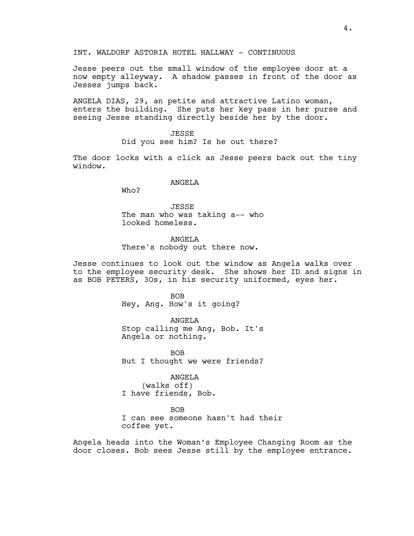INT. WALDORF ASTORIA HOTEL HALLWAY - CONTINUOUS

Jesse peers out the small window of the employee door at a now empty alleyway. A shadow passes in front of the door as Jesses jumps back.

ANGELA DIAS, 29, an petite and attractive Latino woman, enters the building. She puts her key pass in her purse and seeing Jesse standing directly beside her by the door.

> JESSE Did you see him? Is he out there?

The door locks with a click as Jesse peers back out the tiny window.

## ANGELA

Who?

JESSE The man who was taking a-- who looked homeless.

ANGELA There's nobody out there now.

Jesse continues to look out the window as Angela walks over to the employee security desk. She shows her ID and signs in as BOB PETERS, 3Os, in his security uniformed, eyes her.

> BOB Hey, Ang. How's it going?

ANGELA Stop calling me Ang, Bob. It's Angela or nothing.

BOB But I thought we were friends?

ANGELA

(walks off) I have friends, Bob.

BOB

I can see someone hasn't had their coffee yet.

Angela heads into the Woman's Employee Changing Room as the door closes. Bob sees Jesse still by the employee entrance.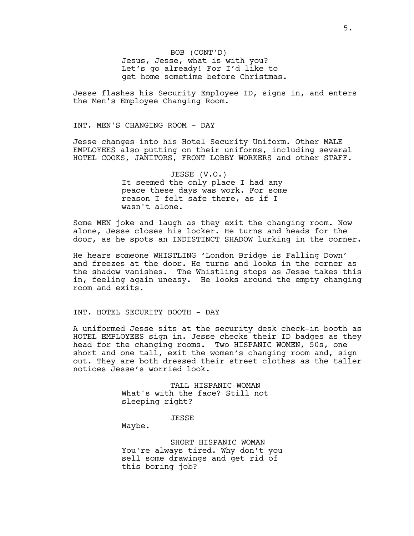BOB (CONT'D) Jesus, Jesse, what is with you? Let's go already! For I'd like to get home sometime before Christmas.

Jesse flashes his Security Employee ID, signs in, and enters the Men's Employee Changing Room.

INT. MEN'S CHANGING ROOM - DAY

Jesse changes into his Hotel Security Uniform. Other MALE EMPLOYEES also putting on their uniforms, including several HOTEL COOKS, JANITORS, FRONT LOBBY WORKERS and other STAFF.

> JESSE (V.O.) It seemed the only place I had any peace these days was work. For some reason I felt safe there, as if I wasn't alone.

Some MEN joke and laugh as they exit the changing room. Now alone, Jesse closes his locker. He turns and heads for the door, as he spots an INDISTINCT SHADOW lurking in the corner.

He hears someone WHISTLING 'London Bridge is Falling Down' and freezes at the door. He turns and looks in the corner as the shadow vanishes. The Whistling stops as Jesse takes this in, feeling again uneasy. He looks around the empty changing room and exits.

INT. HOTEL SECURITY BOOTH - DAY

A uniformed Jesse sits at the security desk check-in booth as HOTEL EMPLOYEES sign in. Jesse checks their ID badges as they head for the changing rooms. Two HISPANIC WOMEN, 50s, one short and one tall, exit the women's changing room and, sign out. They are both dressed their street clothes as the taller notices Jesse's worried look.

> TALL HISPANIC WOMAN What's with the face? Still not sleeping right?

> > JESSE

Maybe.

SHORT HISPANIC WOMAN You're always tired. Why don't you sell some drawings and get rid of this boring job?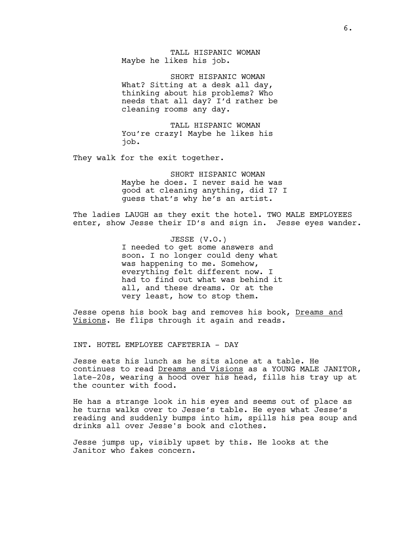TALL HISPANIC WOMAN Maybe he likes his job.

SHORT HISPANIC WOMAN What? Sitting at a desk all day, thinking about his problems? Who needs that all day? I'd rather be cleaning rooms any day.

TALL HISPANIC WOMAN You're crazy! Maybe he likes his job.

They walk for the exit together.

SHORT HISPANIC WOMAN Maybe he does. I never said he was good at cleaning anything, did I? I guess that's why he's an artist.

The ladies LAUGH as they exit the hotel. TWO MALE EMPLOYEES enter, show Jesse their ID's and sign in. Jesse eyes wander.

> JESSE (V.O.) I needed to get some answers and soon. I no longer could deny what was happening to me. Somehow, everything felt different now. I had to find out what was behind it all, and these dreams. Or at the very least, how to stop them.

Jesse opens his book bag and removes his book, Dreams and Visions. He flips through it again and reads.

INT. HOTEL EMPLOYEE CAFETERIA - DAY

Jesse eats his lunch as he sits alone at a table. He continues to read Dreams and Visions as a YOUNG MALE JANITOR, late-20s, wearing a hood over his head, fills his tray up at the counter with food.

He has a strange look in his eyes and seems out of place as he turns walks over to Jesse's table. He eyes what Jesse's reading and suddenly bumps into him, spills his pea soup and drinks all over Jesse's book and clothes.

Jesse jumps up, visibly upset by this. He looks at the Janitor who fakes concern.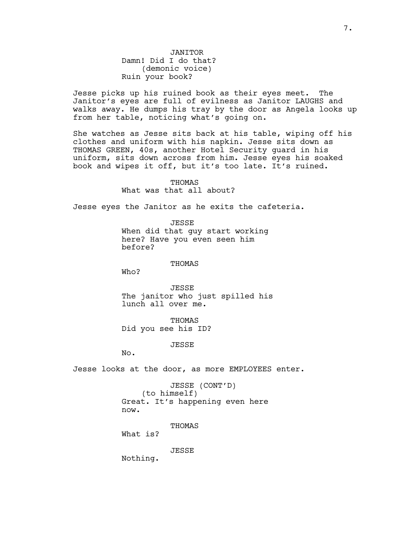JANITOR Damn! Did I do that? (demonic voice) Ruin your book?

Jesse picks up his ruined book as their eyes meet. The Janitor's eyes are full of evilness as Janitor LAUGHS and walks away. He dumps his tray by the door as Angela looks up from her table, noticing what's going on.

She watches as Jesse sits back at his table, wiping off his clothes and uniform with his napkin. Jesse sits down as THOMAS GREEN, 40s, another Hotel Security guard in his uniform, sits down across from him. Jesse eyes his soaked book and wipes it off, but it's too late. It's ruined.

> THOMAS What was that all about?

Jesse eyes the Janitor as he exits the cafeteria.

JESSE

When did that guy start working here? Have you even seen him before?

THOMAS

Who?

JESSE The janitor who just spilled his lunch all over me.

THOMAS Did you see his ID?

JESSE

No.

Jesse looks at the door, as more EMPLOYEES enter.

JESSE (CONT'D) (to himself) Great. It's happening even here now.

THOMAS

What is?

JESSE

Nothing.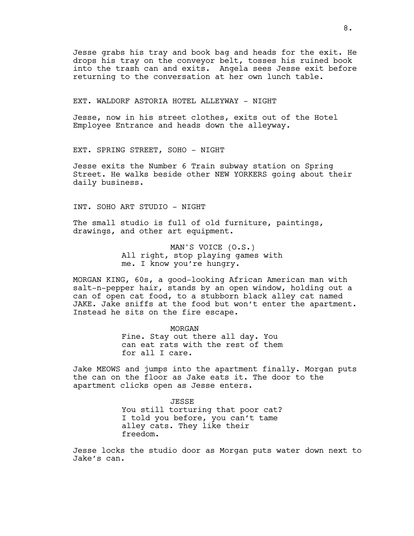Jesse grabs his tray and book bag and heads for the exit. He drops his tray on the conveyor belt, tosses his ruined book into the trash can and exits. Angela sees Jesse exit before returning to the conversation at her own lunch table.

EXT. WALDORF ASTORIA HOTEL ALLEYWAY - NIGHT

Jesse, now in his street clothes, exits out of the Hotel Employee Entrance and heads down the alleyway.

EXT. SPRING STREET, SOHO - NIGHT

Jesse exits the Number 6 Train subway station on Spring Street. He walks beside other NEW YORKERS going about their daily business.

INT. SOHO ART STUDIO - NIGHT

The small studio is full of old furniture, paintings, drawings, and other art equipment.

> MAN'S VOICE (O.S.) All right, stop playing games with me. I know you're hungry.

MORGAN KING, 60s, a good-looking African American man with salt-n-pepper hair, stands by an open window, holding out a can of open cat food, to a stubborn black alley cat named JAKE. Jake sniffs at the food but won't enter the apartment. Instead he sits on the fire escape.

> MORGAN Fine. Stay out there all day. You can eat rats with the rest of them for all I care.

Jake MEOWS and jumps into the apartment finally. Morgan puts the can on the floor as Jake eats it. The door to the apartment clicks open as Jesse enters.

> JESSE You still torturing that poor cat? I told you before, you can't tame alley cats. They like their freedom.

Jesse locks the studio door as Morgan puts water down next to Jake's can.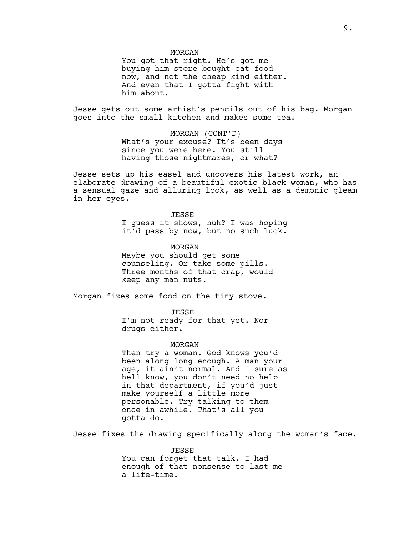### MORGAN

You got that right. He's got me buying him store bought cat food now, and not the cheap kind either. And even that I gotta fight with him about.

Jesse gets out some artist's pencils out of his bag. Morgan goes into the small kitchen and makes some tea.

> MORGAN (CONT'D) What's your excuse? It's been days since you were here. You still having those nightmares, or what?

Jesse sets up his easel and uncovers his latest work, an elaborate drawing of a beautiful exotic black woman, who has a sensual gaze and alluring look, as well as a demonic gleam in her eyes.

> JESSE I guess it shows, huh? I was hoping it'd pass by now, but no such luck.

MORGAN Maybe you should get some counseling. Or take some pills. Three months of that crap, would keep any man nuts.

Morgan fixes some food on the tiny stove.

JESSE I'm not ready for that yet. Nor drugs either.

#### MORGAN

Then try a woman. God knows you'd been along long enough. A man your age, it ain't normal. And I sure as hell know, you don't need no help in that department, if you'd just make yourself a little more personable. Try talking to them once in awhile. That's all you gotta do.

Jesse fixes the drawing specifically along the woman's face.

JESSE You can forget that talk. I had enough of that nonsense to last me a life-time.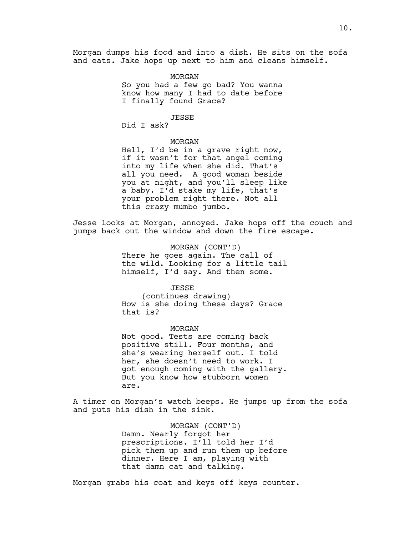Morgan dumps his food and into a dish. He sits on the sofa and eats. Jake hops up next to him and cleans himself.

### MORGAN

So you had a few go bad? You wanna know how many I had to date before I finally found Grace?

### JESSE

Did I ask?

### MORGAN

Hell, I'd be in a grave right now, if it wasn't for that angel coming into my life when she did. That's all you need. A good woman beside you at night, and you'll sleep like a baby. I'd stake my life, that's your problem right there. Not all this crazy mumbo jumbo.

Jesse looks at Morgan, annoyed. Jake hops off the couch and jumps back out the window and down the fire escape.

> MORGAN (CONT'D) There he goes again. The call of the wild. Looking for a little tail himself, I'd say. And then some.

## JESSE

(continues drawing) How is she doing these days? Grace that is?

#### MORGAN

Not good. Tests are coming back positive still. Four months, and she's wearing herself out. I told her, she doesn't need to work. I got enough coming with the gallery. But you know how stubborn women are.

A timer on Morgan's watch beeps. He jumps up from the sofa and puts his dish in the sink.

> MORGAN (CONT'D) Damn. Nearly forgot her prescriptions. I'll told her I'd pick them up and run them up before dinner. Here I am, playing with that damn cat and talking.

Morgan grabs his coat and keys off keys counter.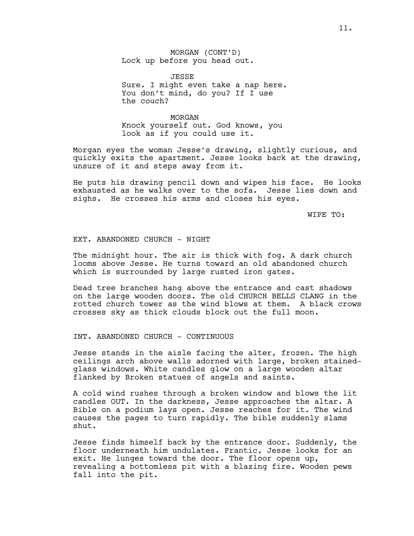MORGAN (CONT'D) Lock up before you head out.

**JESSE** Sure. I might even take a nap here. You don't mind, do you? If I use the couch?

MORGAN Knock yourself out. God knows, you look as if you could use it.

Morgan eyes the woman Jesse's drawing, slightly curious, and quickly exits the apartment. Jesse looks back at the drawing, unsure of it and steps away from it.

He puts his drawing pencil down and wipes his face. He looks exhausted as he walks over to the sofa. Jesse lies down and sighs. He crosses his arms and closes his eyes.

WIPE TO:

## EXT. ABANDONED CHURCH - NIGHT

The midnight hour. The air is thick with fog. A dark church looms above Jesse. He turns toward an old abandoned church which is surrounded by large rusted iron gates.

Dead tree branches hang above the entrance and cast shadows on the large wooden doors. The old CHURCH BELLS CLANG in the rotted church tower as the wind blows at them. A black crows crosses sky as thick clouds block out the full moon.

## INT. ABANDONED CHURCH - CONTINUOUS

Jesse stands in the aisle facing the alter, frozen. The high ceilings arch above walls adorned with large, broken stainedglass windows. White candles glow on a large wooden altar flanked by Broken statues of angels and saints.

A cold wind rushes through a broken window and blows the lit candles OUT. In the darkness, Jesse approaches the altar. A Bible on a podium lays open. Jesse reaches for it. The wind causes the pages to turn rapidly. The bible suddenly slams shut.

Jesse finds himself back by the entrance door. Suddenly, the floor underneath him undulates. Frantic, Jesse looks for an exit. He lunges toward the door. The floor opens up, revealing a bottomless pit with a blazing fire. Wooden pews fall into the pit.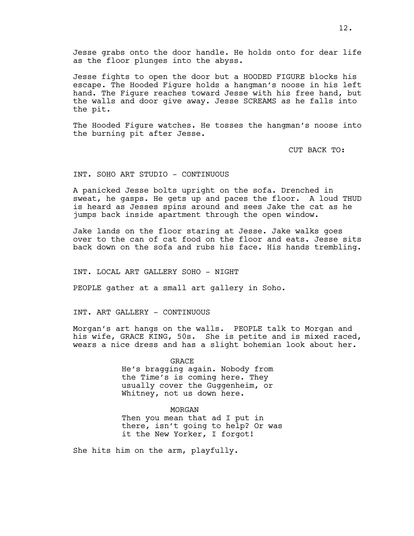Jesse grabs onto the door handle. He holds onto for dear life as the floor plunges into the abyss.

Jesse fights to open the door but a HOODED FIGURE blocks his escape. The Hooded Figure holds a hangman's noose in his left hand. The Figure reaches toward Jesse with his free hand, but the walls and door give away. Jesse SCREAMS as he falls into the pit.

The Hooded Figure watches. He tosses the hangman's noose into the burning pit after Jesse.

CUT BACK TO:

### INT. SOHO ART STUDIO - CONTINUOUS

A panicked Jesse bolts upright on the sofa. Drenched in sweat, he gasps. He gets up and paces the floor. A loud THUD is heard as Jesses spins around and sees Jake the cat as he jumps back inside apartment through the open window.

Jake lands on the floor staring at Jesse. Jake walks goes over to the can of cat food on the floor and eats. Jesse sits back down on the sofa and rubs his face. His hands trembling.

INT. LOCAL ART GALLERY SOHO - NIGHT

PEOPLE gather at a small art gallery in Soho.

INT. ART GALLERY - CONTINUOUS

Morgan's art hangs on the walls. PEOPLE talk to Morgan and his wife, GRACE KING, 50s. She is petite and is mixed raced, wears a nice dress and has a slight bohemian look about her.

> GRACE He's bragging again. Nobody from the Time's is coming here. They usually cover the Guggenheim, or Whitney, not us down here.

> > MORGAN

Then you mean that ad I put in there, isn't going to help? Or was it the New Yorker, I forgot!

She hits him on the arm, playfully.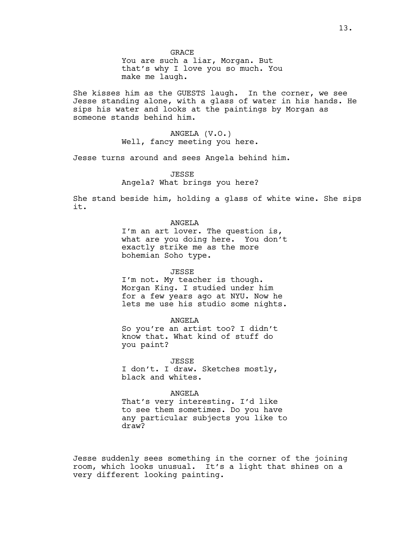**GRACE** 

You are such a liar, Morgan. But that's why I love you so much. You make me laugh.

She kisses him as the GUESTS laugh. In the corner, we see Jesse standing alone, with a glass of water in his hands. He sips his water and looks at the paintings by Morgan as someone stands behind him.

> ANGELA (V.O.) Well, fancy meeting you here.

Jesse turns around and sees Angela behind him.

**JESSE** Angela? What brings you here?

She stand beside him, holding a glass of white wine. She sips it.

> ANGELA I'm an art lover. The question is, what are you doing here. You don't

exactly strike me as the more bohemian Soho type.

JESSE

I'm not. My teacher is though. Morgan King. I studied under him for a few years ago at NYU. Now he lets me use his studio some nights.

ANGELA So you're an artist too? I didn't know that. What kind of stuff do you paint?

JESSE I don't. I draw. Sketches mostly, black and whites.

ANGELA That's very interesting. I'd like to see them sometimes. Do you have any particular subjects you like to draw?

Jesse suddenly sees something in the corner of the joining room, which looks unusual. It's a light that shines on a very different looking painting.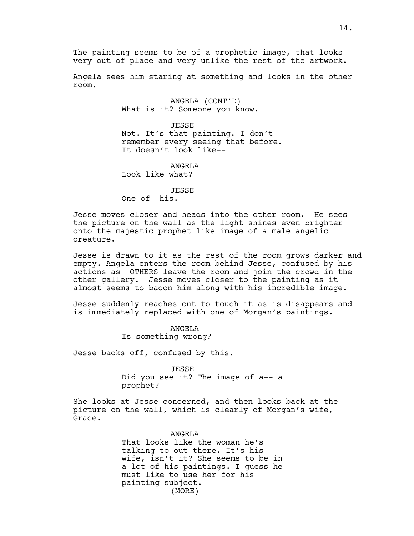The painting seems to be of a prophetic image, that looks very out of place and very unlike the rest of the artwork.

Angela sees him staring at something and looks in the other room.

> ANGELA (CONT'D) What is it? Someone you know.

JESSE Not. It's that painting. I don't remember every seeing that before. It doesn't look like--

ANGELA Look like what?

JESSE One of- his.

Jesse moves closer and heads into the other room. He sees the picture on the wall as the light shines even brighter onto the majestic prophet like image of a male angelic creature.

Jesse is drawn to it as the rest of the room grows darker and empty. Angela enters the room behind Jesse, confused by his actions as OTHERS leave the room and join the crowd in the other gallery. Jesse moves closer to the painting as it almost seems to bacon him along with his incredible image.

Jesse suddenly reaches out to touch it as is disappears and is immediately replaced with one of Morgan's paintings.

> ANGELA Is something wrong?

Jesse backs off, confused by this.

JESSE Did you see it? The image of a-- a prophet?

She looks at Jesse concerned, and then looks back at the picture on the wall, which is clearly of Morgan's wife, Grace.

> ANGELA That looks like the woman he's talking to out there. It's his wife, isn't it? She seems to be in a lot of his paintings. I guess he must like to use her for his painting subject. (MORE)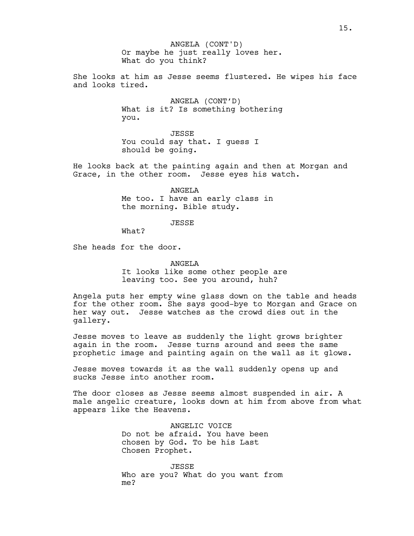Or maybe he just really loves her. What do you think? ANGELA (CONT'D)

She looks at him as Jesse seems flustered. He wipes his face and looks tired.

> ANGELA (CONT'D) What is it? Is something bothering you.

JESSE You could say that. I guess I should be going.

He looks back at the painting again and then at Morgan and Grace, in the other room. Jesse eyes his watch.

> ANGELA Me too. I have an early class in the morning. Bible study.

> > JESSE

What?

She heads for the door.

ANGELA It looks like some other people are leaving too. See you around, huh?

Angela puts her empty wine glass down on the table and heads for the other room. She says good-bye to Morgan and Grace on her way out. Jesse watches as the crowd dies out in the gallery.

Jesse moves to leave as suddenly the light grows brighter again in the room. Jesse turns around and sees the same prophetic image and painting again on the wall as it glows.

Jesse moves towards it as the wall suddenly opens up and sucks Jesse into another room.

The door closes as Jesse seems almost suspended in air. A male angelic creature, looks down at him from above from what appears like the Heavens.

> ANGELIC VOICE Do not be afraid. You have been chosen by God. To be his Last Chosen Prophet.

JESSE Who are you? What do you want from me?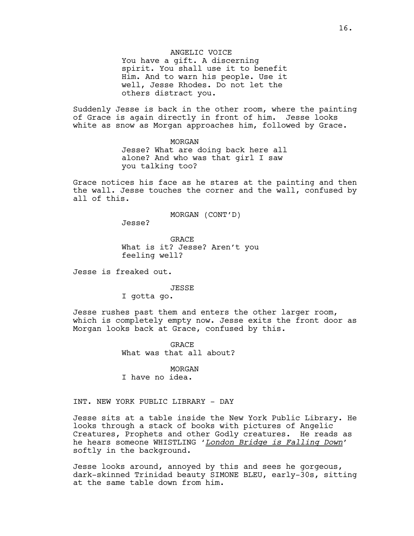## ANGELIC VOICE

You have a gift. A discerning spirit. You shall use it to benefit Him. And to warn his people. Use it well, Jesse Rhodes. Do not let the others distract you.

Suddenly Jesse is back in the other room, where the painting of Grace is again directly in front of him. Jesse looks white as snow as Morgan approaches him, followed by Grace.

> MORGAN Jesse? What are doing back here all alone? And who was that girl I saw you talking too?

Grace notices his face as he stares at the painting and then the wall. Jesse touches the corner and the wall, confused by all of this.

MORGAN (CONT'D)

Jesse?

GRACE What is it? Jesse? Aren't you feeling well?

Jesse is freaked out.

#### JESSE

I gotta go.

Jesse rushes past them and enters the other larger room, which is completely empty now. Jesse exits the front door as Morgan looks back at Grace, confused by this.

> **GRACE** What was that all about?

MORGAN I have no idea.

# INT. NEW YORK PUBLIC LIBRARY - DAY

Jesse sits at a table inside the New York Public Library. He looks through a stack of books with pictures of Angelic Creatures, Prophets and other Godly creatures. He reads as he hears someone WHISTLING '*London Bridge is Falling Down*' softly in the background.

Jesse looks around, annoyed by this and sees he gorgeous, dark-skinned Trinidad beauty SIMONE BLEU, early-30s, sitting at the same table down from him.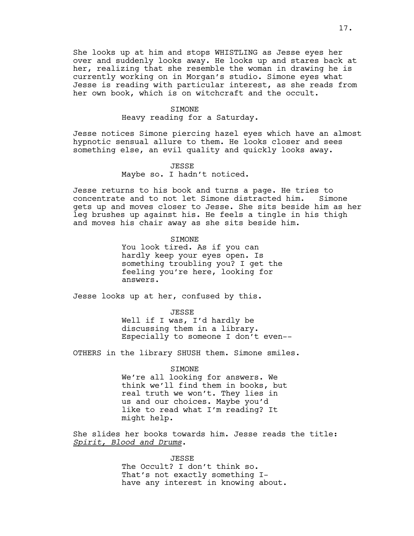She looks up at him and stops WHISTLING as Jesse eyes her over and suddenly looks away. He looks up and stares back at her, realizing that she resemble the woman in drawing he is currently working on in Morgan's studio. Simone eyes what Jesse is reading with particular interest, as she reads from her own book, which is on witchcraft and the occult.

## SIMONE

Heavy reading for a Saturday.

Jesse notices Simone piercing hazel eyes which have an almost hypnotic sensual allure to them. He looks closer and sees something else, an evil quality and quickly looks away.

### JESSE

Maybe so. I hadn't noticed.

Jesse returns to his book and turns a page. He tries to concentrate and to not let Simone distracted him. Simone gets up and moves closer to Jesse. She sits beside him as her leg brushes up against his. He feels a tingle in his thigh and moves his chair away as she sits beside him.

# SIMONE

You look tired. As if you can hardly keep your eyes open. Is something troubling you? I get the feeling you're here, looking for answers.

Jesse looks up at her, confused by this.

#### JESSE

Well if I was, I'd hardly be discussing them in a library. Especially to someone I don't even--

OTHERS in the library SHUSH them. Simone smiles.

#### SIMONE

We're all looking for answers. We think we'll find them in books, but real truth we won't. They lies in us and our choices. Maybe you'd like to read what I'm reading? It might help.

She slides her books towards him. Jesse reads the title: *Spirit, Blood and Drums*.

> JESSE The Occult? I don't think so. That's not exactly something Ihave any interest in knowing about.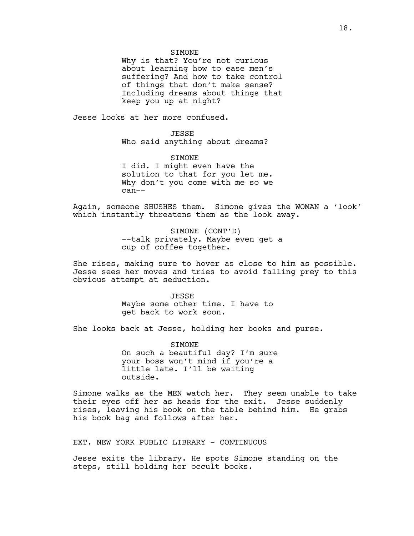**STMONE** 

Why is that? You're not curious about learning how to ease men's suffering? And how to take control of things that don't make sense? Including dreams about things that keep you up at night?

Jesse looks at her more confused.

JESSE Who said anything about dreams?

**STMONE** I did. I might even have the solution to that for you let me. Why don't you come with me so we can--

Again, someone SHUSHES them. Simone gives the WOMAN a 'look' which instantly threatens them as the look away.

> SIMONE (CONT'D) --talk privately. Maybe even get a cup of coffee together.

She rises, making sure to hover as close to him as possible. Jesse sees her moves and tries to avoid falling prey to this obvious attempt at seduction.

> JESSE Maybe some other time. I have to get back to work soon.

She looks back at Jesse, holding her books and purse.

**STMONE** On such a beautiful day? I'm sure your boss won't mind if you're a little late. I'll be waiting outside.

Simone walks as the MEN watch her. They seem unable to take their eyes off her as heads for the exit. Jesse suddenly rises, leaving his book on the table behind him. He grabs his book bag and follows after her.

EXT. NEW YORK PUBLIC LIBRARY - CONTINUOUS

Jesse exits the library. He spots Simone standing on the steps, still holding her occult books.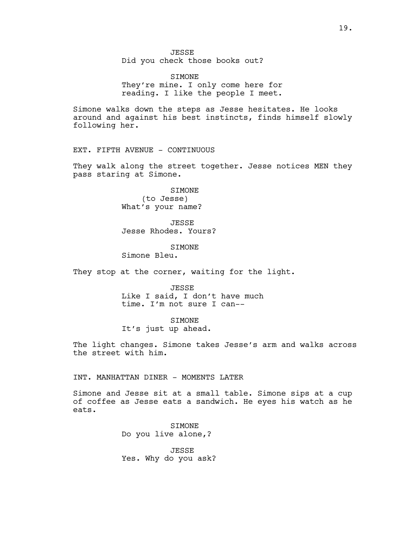Did you check those books out?

SIMONE They're mine. I only come here for reading. I like the people I meet.

Simone walks down the steps as Jesse hesitates. He looks around and against his best instincts, finds himself slowly following her.

EXT. FIFTH AVENUE - CONTINUOUS

They walk along the street together. Jesse notices MEN they pass staring at Simone.

> SIMONE (to Jesse) What's your name?

JESSE Jesse Rhodes. Yours?

**STMONE** Simone Bleu.

They stop at the corner, waiting for the light.

JESSE Like I said, I don't have much time. I'm not sure I can--

**STMONE** It's just up ahead.

The light changes. Simone takes Jesse's arm and walks across the street with him.

INT. MANHATTAN DINER - MOMENTS LATER

Simone and Jesse sit at a small table. Simone sips at a cup of coffee as Jesse eats a sandwich. He eyes his watch as he eats.

> SIMONE Do you live alone,?

JESSE Yes. Why do you ask?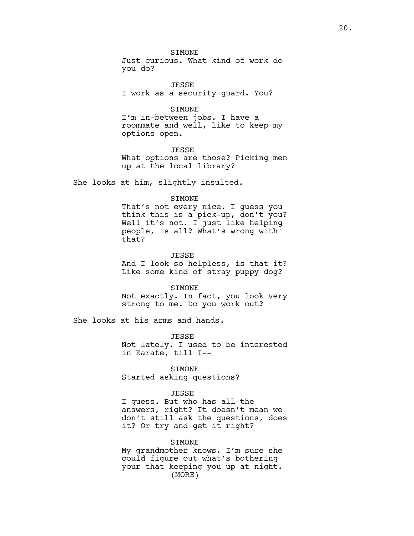**STMONE** 

Just curious. What kind of work do you do?

JESSE I work as a security guard. You?

SIMONE

I'm in-between jobs. I have a roommate and well, like to keep my options open.

JESSE What options are those? Picking men up at the local library?

She looks at him, slightly insulted.

### SIMONE

That's not every nice. I guess you think this is a pick-up, don't you? Well it's not. I just like helping people, is all? What's wrong with that?

JESSE

And I look so helpless, is that it? Like some kind of stray puppy dog?

SIMONE

Not exactly. In fact, you look very strong to me. Do you work out?

She looks at his arms and hands.

JESSE Not lately. I used to be interested in Karate, till I--

SIMONE

Started asking questions?

## JESSE

I guess. But who has all the answers, right? It doesn't mean we don't still ask the questions, does it? Or try and get it right?

## SIMONE

My grandmother knows. I'm sure she could figure out what's bothering your that keeping you up at night. (MORE)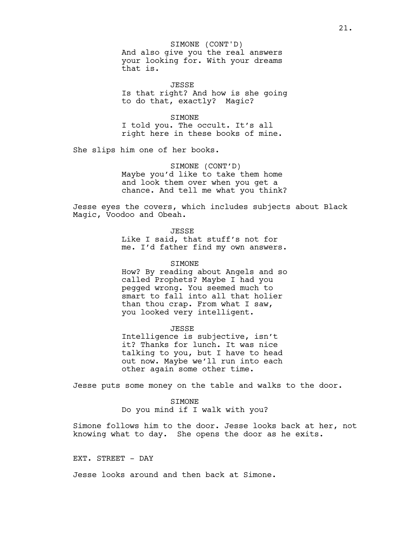And also give you the real answers your looking for. With your dreams that is. SIMONE (CONT'D)

JESSE Is that right? And how is she going to do that, exactly? Magic?

## SIMONE

I told you. The occult. It's all right here in these books of mine.

She slips him one of her books.

SIMONE (CONT'D) Maybe you'd like to take them home and look them over when you get a chance. And tell me what you think?

Jesse eyes the covers, which includes subjects about Black Magic, Voodoo and Obeah.

**JESSE** 

Like I said, that stuff's not for me. I'd father find my own answers.

## SIMONE

How? By reading about Angels and so called Prophets? Maybe I had you pegged wrong. You seemed much to smart to fall into all that holier than thou crap. From what I saw, you looked very intelligent.

JESSE Intelligence is subjective, isn't it? Thanks for lunch. It was nice talking to you, but I have to head out now. Maybe we'll run into each other again some other time.

Jesse puts some money on the table and walks to the door.

## SIMONE

Do you mind if I walk with you?

Simone follows him to the door. Jesse looks back at her, not knowing what to day. She opens the door as he exits.

EXT. STREET - DAY

Jesse looks around and then back at Simone.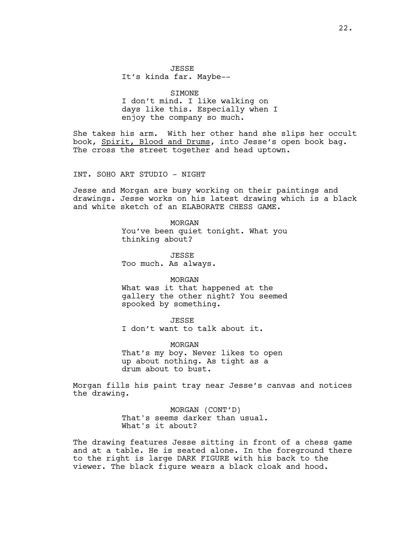**JESSE** It's kinda far. Maybe--

SIMONE

I don't mind. I like walking on days like this. Especially when I enjoy the company so much.

She takes his arm. With her other hand she slips her occult book, Spirit, Blood and Drums, into Jesse's open book bag. The cross the street together and head uptown.

INT. SOHO ART STUDIO - NIGHT

Jesse and Morgan are busy working on their paintings and drawings. Jesse works on his latest drawing which is a black and white sketch of an ELABORATE CHESS GAME.

> MORGAN You've been quiet tonight. What you thinking about?

JESSE Too much. As always.

MORGAN

What was it that happened at the gallery the other night? You seemed spooked by something.

JESSE

I don't want to talk about it.

MORGAN That's my boy. Never likes to open up about nothing. As tight as a drum about to bust.

Morgan fills his paint tray near Jesse's canvas and notices the drawing.

> MORGAN (CONT'D) That's seems darker than usual. What's it about?

The drawing features Jesse sitting in front of a chess game and at a table. He is seated alone. In the foreground there to the right is large DARK FIGURE with his back to the viewer. The black figure wears a black cloak and hood.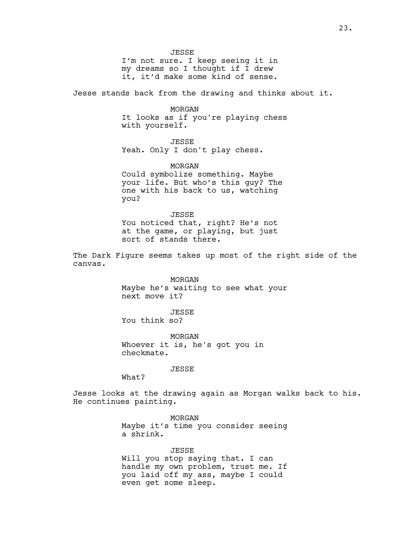JESSE I'm not sure. I keep seeing it in my dreams so I thought if I drew it, it'd make some kind of sense.

Jesse stands back from the drawing and thinks about it.

MORGAN It looks as if you're playing chess with yourself.

JESSE Yeah. Only I don't play chess.

MORGAN Could symbolize something. Maybe your life. But who's this guy? The one with his back to us, watching you?

JESSE You noticed that, right? He's not at the game, or playing, but just sort of stands there.

The Dark Figure seems takes up most of the right side of the canvas.

> MORGAN Maybe he's waiting to see what your next move it?

JESSE You think so?

MORGAN Whoever it is, he's got you in checkmate.

JESSE

What?

Jesse looks at the drawing again as Morgan walks back to his. He continues painting.

> MORGAN Maybe it's time you consider seeing a shrink.

> JESSE Will you stop saying that. I can handle my own problem, trust me. If you laid off my ass, maybe I could even get some sleep.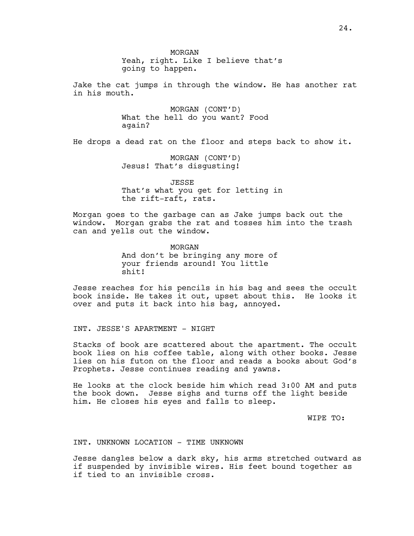MORGAN Yeah, right. Like I believe that's going to happen.

Jake the cat jumps in through the window. He has another rat in his mouth.

> MORGAN (CONT'D) What the hell do you want? Food again?

He drops a dead rat on the floor and steps back to show it.

MORGAN (CONT'D) Jesus! That's disgusting!

JESSE That's what you get for letting in the rift-raft, rats.

Morgan goes to the garbage can as Jake jumps back out the window. Morgan grabs the rat and tosses him into the trash can and yells out the window.

> MORGAN And don't be bringing any more of your friends around! You little shit!

Jesse reaches for his pencils in his bag and sees the occult book inside. He takes it out, upset about this. He looks it over and puts it back into his bag, annoyed.

INT. JESSE'S APARTMENT - NIGHT

Stacks of book are scattered about the apartment. The occult book lies on his coffee table, along with other books. Jesse lies on his futon on the floor and reads a books about God's Prophets. Jesse continues reading and yawns.

He looks at the clock beside him which read 3:00 AM and puts the book down. Jesse sighs and turns off the light beside him. He closes his eyes and falls to sleep.

WIPE TO:

INT. UNKNOWN LOCATION - TIME UNKNOWN

Jesse dangles below a dark sky, his arms stretched outward as if suspended by invisible wires. His feet bound together as if tied to an invisible cross.